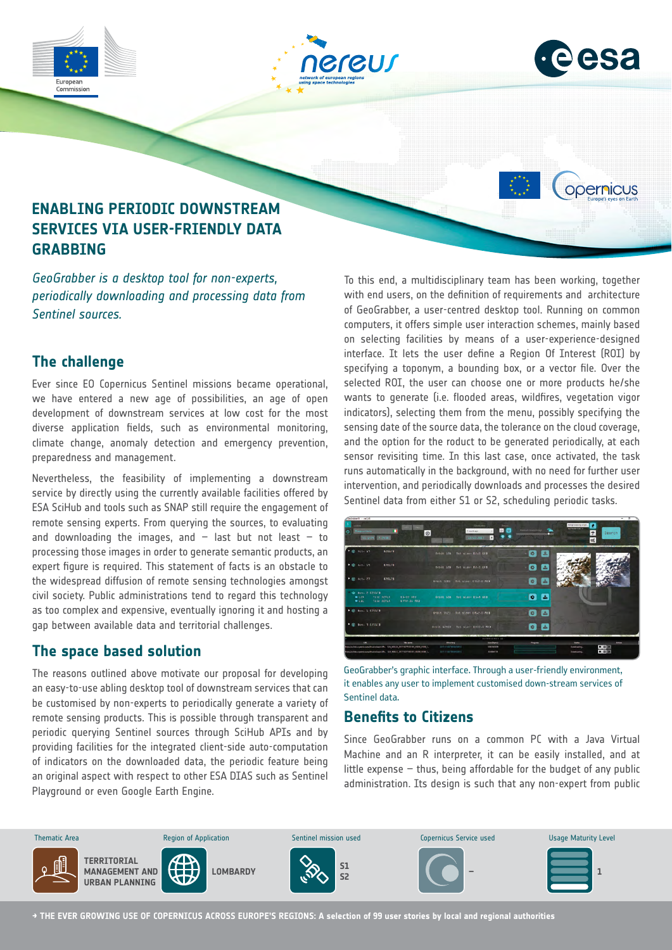

*periodically downloading and processing data from Sentinel sources.*

#### **The challenge**

Ever since EO Copernicus Sentinel missions became operational, we have entered a new age of possibilities, an age of open development of downstream services at low cost for the most diverse application fields, such as environmental monitoring, climate change, anomaly detection and emergency prevention, preparedness and management.

Nevertheless, the feasibility of implementing a downstream service by directly using the currently available facilities offered by ESA SciHub and tools such as SNAP still require the engagement of remote sensing experts. From querying the sources, to evaluating and downloading the images, and  $-$  last but not least  $-$  to processing those images in order to generate semantic products, an expert figure is required. This statement of facts is an obstacle to the widespread diffusion of remote sensing technologies amongst civil society. Public administrations tend to regard this technology as too complex and expensive, eventually ignoring it and hosting a gap between available data and territorial challenges.

# **The space based solution**

The reasons outlined above motivate our proposal for developing an easy-to-use abling desktop tool of downstream services that can be customised by non-experts to periodically generate a variety of remote sensing products. This is possible through transparent and periodic querying Sentinel sources through SciHub APIs and by providing facilities for the integrated client-side auto-computation of indicators on the downloaded data, the periodic feature being an original aspect with respect to other ESA DIAS such as Sentinel Playground or even Google Earth Engine.

To this end, a multidisciplinary team has been working, together with end users, on the definition of requirements and architecture of GeoGrabber, a user-centred desktop tool. Running on common computers, it offers simple user interaction schemes, mainly based on selecting facilities by means of a user-experience-designed interface. It lets the user define a Region Of Interest (ROI) by specifying a toponym, a bounding box, or a vector file. Over the selected ROI, the user can choose one or more products he/she wants to generate (i.e. flooded areas, wildfires, vegetation vigor indicators), selecting them from the menu, possibly specifying the sensing date of the source data, the tolerance on the cloud coverage, and the option for the roduct to be generated periodically, at each sensor revisiting time. In this last case, once activated, the task runs automatically in the background, with no need for further user intervention, and periodically downloads and processes the desired Sentinel data from either S1 or S2, scheduling periodic tasks.

| <b>MOVEMENT : 187.1.00</b>                                                                                                                   |                                              |                                                                |                     |                                                                                       |                                     |
|----------------------------------------------------------------------------------------------------------------------------------------------|----------------------------------------------|----------------------------------------------------------------|---------------------|---------------------------------------------------------------------------------------|-------------------------------------|
| <b>ANKIE LAST</b><br>forpartiers:<br>ത<br>$\circ$<br>ALCOHOL: UNIVERSITY                                                                     | Grassiano<br>renthage<br>120120-0031         | 見障<br>н                                                        |                     | Antiprocurregiacipt<br><b>NYMBYER A</b><br>$\overline{ }$<br>$\alpha_{\rm s}^{\rm e}$ | Search                              |
| * @ oct. 19<br>120373                                                                                                                        | Schit 104 Fot size: E2-D 683                 |                                                                | $0$ $2$             |                                                                                       |                                     |
| <b>→ 金 0(0) VT</b><br>EMILYA                                                                                                                 | denis 104 for views \$2.0 days               |                                                                | E<br>$\bullet$      |                                                                                       |                                     |
| ● B 0ct. 27<br>120373                                                                                                                        | Orbit MAD Tot size: E767-D MBT               |                                                                | E.<br>$\bullet$     |                                                                                       |                                     |
| <b>@ Roy. 2 E20171</b><br>E1.03 GBT<br>$+1.78$<br>Tile SPRR<br>Tile STLR<br>\$757.31.503<br>$+110$                                           | denit ins. Yet size: Tick dhy                |                                                                | $\bullet$ $\bullet$ |                                                                                       |                                     |
| P (B Nov. 3 E20123)                                                                                                                          | Orbit 3423 Tot size: EAL2-U-MB3              |                                                                | 一<br>$\circ$        |                                                                                       |                                     |
| * @ Nov. 1 E20171                                                                                                                            | Orbit 62403 Tot size: 1537-0 MHS             |                                                                | $0 - 1$             |                                                                                       |                                     |
|                                                                                                                                              |                                              | DOWNLOADS DE                                                   |                     |                                                                                       |                                     |
| <b>Thursday</b><br>quickly special of dealth, thousand promotion and the<br>Republican communication of the CA MAIL SEP (SPECIFICATE AND EL. | Bester<br>teh-nemetane<br>AULILIAN MANAGERIE | <b>Sim Dytes)</b><br><b><i>VATIONS</i></b><br><b>ASSIMITIS</b> | <b>Program</b>      | <b>State</b><br><b>Sombaring</b><br><b>Constrates</b>                                 | Africa<br><b>DD</b> 1<br><b>POR</b> |

GeoGrabber's graphic interface. Through a user-friendly environment, it enables any user to implement customised down-stream services of Sentinel data.

# **Benefits to Citizens**

Since GeoGrabber runs on a common PC with a Java Virtual Machine and an R interpreter, it can be easily installed, and at little expense  $-$  thus, being affordable for the budget of any public administration. Its design is such that any non-expert from public



**→ THE EVER GROWING USE OF COPERNICUS ACROSS EUROPE'S REGIONS: A selection of 99 user stories by local and regional authorities**